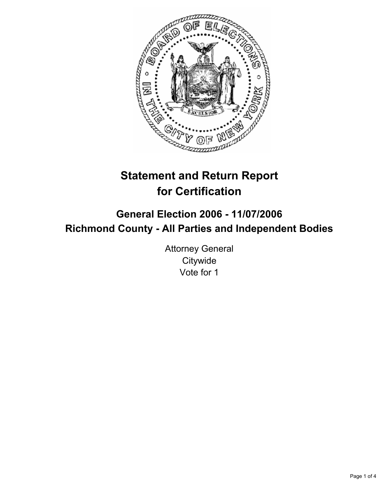

# **Statement and Return Report for Certification**

## **General Election 2006 - 11/07/2006 Richmond County - All Parties and Independent Bodies**

Attorney General **Citywide** Vote for 1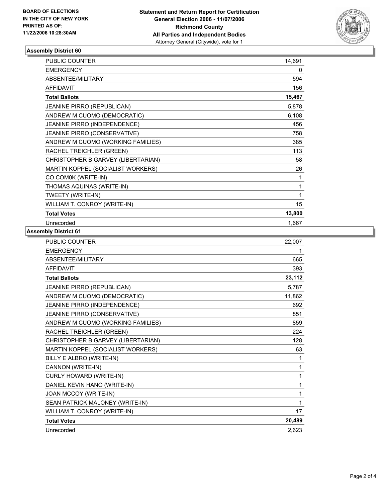

#### **Assembly District 60**

| PUBLIC COUNTER                     | 14,691 |
|------------------------------------|--------|
| <b>EMERGENCY</b>                   | 0      |
| ABSENTEE/MILITARY                  | 594    |
| <b>AFFIDAVIT</b>                   | 156    |
| <b>Total Ballots</b>               | 15,467 |
| <b>JEANINE PIRRO (REPUBLICAN)</b>  | 5,878  |
| ANDREW M CUOMO (DEMOCRATIC)        | 6,108  |
| JEANINE PIRRO (INDEPENDENCE)       | 456    |
| JEANINE PIRRO (CONSERVATIVE)       | 758    |
| ANDREW M CUOMO (WORKING FAMILIES)  | 385    |
| RACHEL TREICHLER (GREEN)           | 113    |
| CHRISTOPHER B GARVEY (LIBERTARIAN) | 58     |
| MARTIN KOPPEL (SOCIALIST WORKERS)  | 26     |
| CO COM0K (WRITE-IN)                |        |
| THOMAS AQUINAS (WRITE-IN)          |        |
| TWEETY (WRITE-IN)                  |        |
| WILLIAM T. CONROY (WRITE-IN)       | 15     |
| <b>Total Votes</b>                 | 13,800 |
| Unrecorded                         | 1,667  |

#### **Assembly District 61**

| PUBLIC COUNTER                     | 22,007 |
|------------------------------------|--------|
| <b>EMERGENCY</b>                   |        |
| ABSENTEE/MILITARY                  | 665    |
| <b>AFFIDAVIT</b>                   | 393    |
| <b>Total Ballots</b>               | 23,112 |
| JEANINE PIRRO (REPUBLICAN)         | 5,787  |
| ANDREW M CUOMO (DEMOCRATIC)        | 11,862 |
| JEANINE PIRRO (INDEPENDENCE)       | 692    |
| JEANINE PIRRO (CONSERVATIVE)       | 851    |
| ANDREW M CUOMO (WORKING FAMILIES)  | 859    |
| RACHEL TREICHLER (GREEN)           | 224    |
| CHRISTOPHER B GARVEY (LIBERTARIAN) | 128    |
| MARTIN KOPPEL (SOCIALIST WORKERS)  | 63     |
| BILLY E ALBRO (WRITE-IN)           | 1      |
| CANNON (WRITE-IN)                  | 1      |
| CURLY HOWARD (WRITE-IN)            |        |
| DANIEL KEVIN HANO (WRITE-IN)       | 1      |
| JOAN MCCOY (WRITE-IN)              | 1      |
| SEAN PATRICK MALONEY (WRITE-IN)    |        |
| WILLIAM T. CONROY (WRITE-IN)       | 17     |
| <b>Total Votes</b>                 | 20,489 |
| Unrecorded                         | 2,623  |
|                                    |        |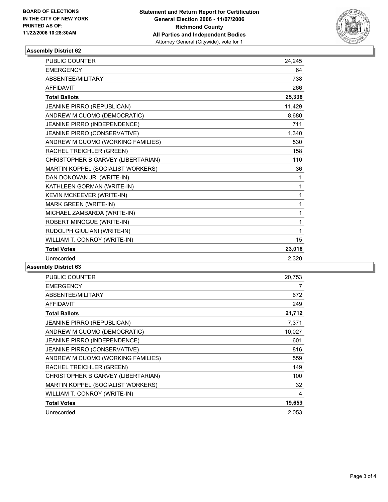

#### **Assembly District 62**

| PUBLIC COUNTER                     | 24,245 |
|------------------------------------|--------|
| <b>EMERGENCY</b>                   | 64     |
| ABSENTEE/MILITARY                  | 738    |
| <b>AFFIDAVIT</b>                   | 266    |
| <b>Total Ballots</b>               | 25,336 |
| JEANINE PIRRO (REPUBLICAN)         | 11,429 |
| ANDREW M CUOMO (DEMOCRATIC)        | 8,680  |
| JEANINE PIRRO (INDEPENDENCE)       | 711    |
| JEANINE PIRRO (CONSERVATIVE)       | 1,340  |
| ANDREW M CUOMO (WORKING FAMILIES)  | 530    |
| RACHEL TREICHLER (GREEN)           | 158    |
| CHRISTOPHER B GARVEY (LIBERTARIAN) | 110    |
| MARTIN KOPPEL (SOCIALIST WORKERS)  | 36     |
| DAN DONOVAN JR. (WRITE-IN)         | 1      |
| KATHLEEN GORMAN (WRITE-IN)         | 1      |
| KEVIN MCKEEVER (WRITE-IN)          | 1      |
| MARK GREEN (WRITE-IN)              | 1      |
| MICHAEL ZAMBARDA (WRITE-IN)        | 1      |
| ROBERT MINOGUE (WRITE-IN)          | 1      |
| RUDOLPH GIULIANI (WRITE-IN)        | 1      |
| WILLIAM T. CONROY (WRITE-IN)       | 15     |
| <b>Total Votes</b>                 | 23,016 |
| Unrecorded                         | 2,320  |

### **Assembly District 63**

| PUBLIC COUNTER                      | 20,753 |
|-------------------------------------|--------|
| <b>EMERGENCY</b>                    | 7      |
| ABSENTEE/MILITARY                   | 672    |
| <b>AFFIDAVIT</b>                    | 249    |
| <b>Total Ballots</b>                | 21,712 |
| <b>JEANINE PIRRO (REPUBLICAN)</b>   | 7,371  |
| ANDREW M CUOMO (DEMOCRATIC)         | 10,027 |
| <b>JEANINE PIRRO (INDEPENDENCE)</b> | 601    |
| <b>JEANINE PIRRO (CONSERVATIVE)</b> | 816    |
| ANDREW M CUOMO (WORKING FAMILIES)   | 559    |
| RACHEL TREICHLER (GREEN)            | 149    |
| CHRISTOPHER B GARVEY (LIBERTARIAN)  | 100    |
| MARTIN KOPPEL (SOCIALIST WORKERS)   | 32     |
| WILLIAM T. CONROY (WRITE-IN)        | 4      |
| <b>Total Votes</b>                  | 19,659 |
| Unrecorded                          | 2,053  |
|                                     |        |